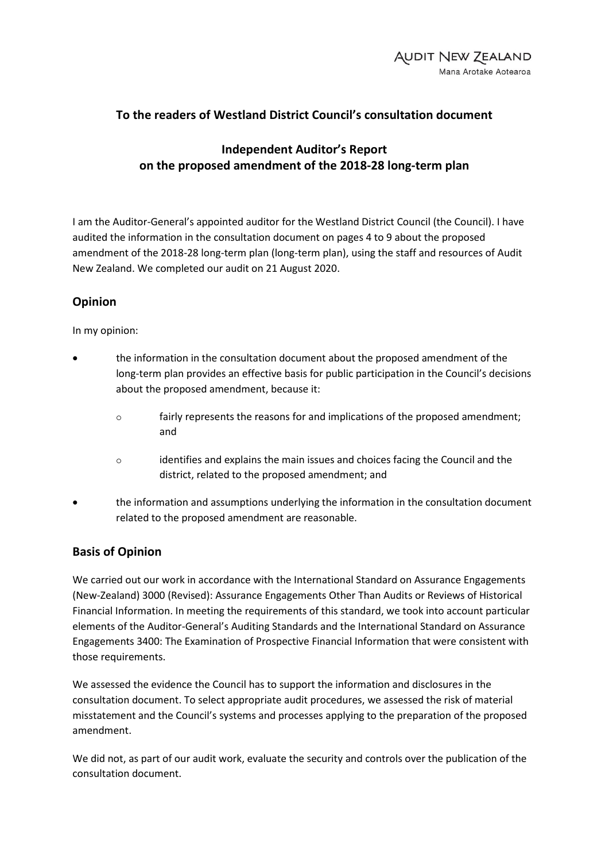# **To the readers of Westland District Council's consultation document**

## **Independent Auditor's Report on the proposed amendment of the 2018-28 long-term plan**

I am the Auditor-General's appointed auditor for the Westland District Council (the Council). I have audited the information in the consultation document on pages 4 to 9 about the proposed amendment of the 2018-28 long-term plan (long-term plan), using the staff and resources of Audit New Zealand. We completed our audit on 21 August 2020.

## **Opinion**

In my opinion:

- the information in the consultation document about the proposed amendment of the long-term plan provides an effective basis for public participation in the Council's decisions about the proposed amendment, because it:
	- fairly represents the reasons for and implications of the proposed amendment; and
	- identifies and explains the main issues and choices facing the Council and the district, related to the proposed amendment; and
- the information and assumptions underlying the information in the consultation document related to the proposed amendment are reasonable.

#### **Basis of Opinion**

We carried out our work in accordance with the International Standard on Assurance Engagements (New-Zealand) 3000 (Revised): Assurance Engagements Other Than Audits or Reviews of Historical Financial Information. In meeting the requirements of this standard, we took into account particular elements of the Auditor-General's Auditing Standards and the International Standard on Assurance Engagements 3400: The Examination of Prospective Financial Information that were consistent with those requirements.

We assessed the evidence the Council has to support the information and disclosures in the consultation document. To select appropriate audit procedures, we assessed the risk of material misstatement and the Council's systems and processes applying to the preparation of the proposed amendment.

We did not, as part of our audit work, evaluate the security and controls over the publication of the consultation document.